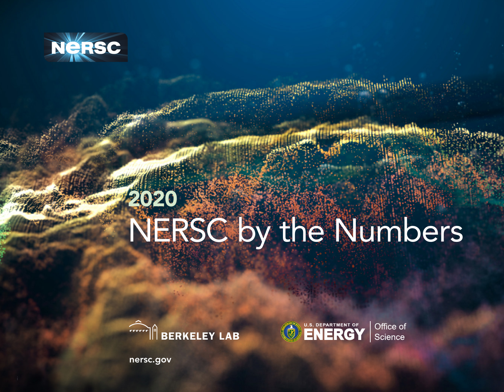

## 2020 NERSC by the Numbers





Office of Science

[nersc.gov](http://nersc.gov)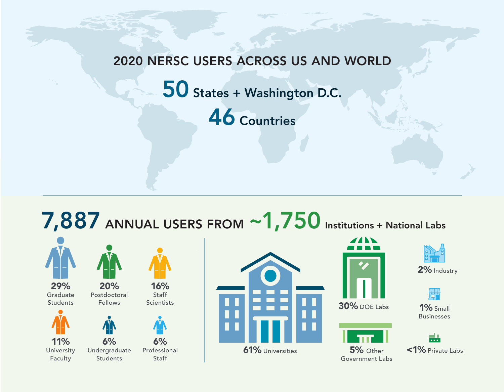#### 2020 NERSC USERS ACROSS US AND WORLD

50 States + Washington D.C.

46 Countries





NERSC ANNUAL REPORT 2019





30% DOE Labs



5% Other Government Labs



2% Industry



1% Small Businesses

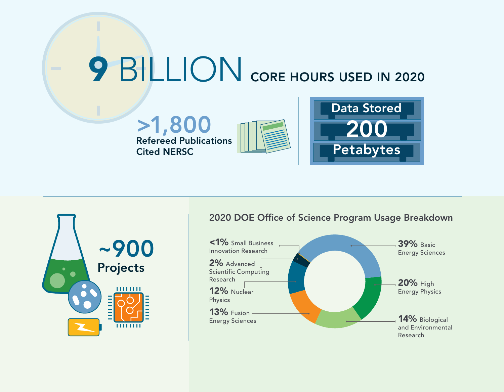# **9 BILLION** CORE HOURS USED IN 2020









#### 2020 DOE Office of Science Program Usage Breakdown